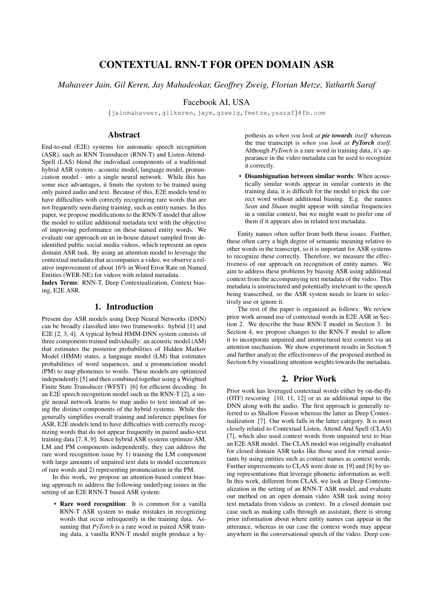# CONTEXTUAL RNN-T FOR OPEN DOMAIN ASR

*Mahaveer Jain, Gil Keren, Jay Mahadeokar, Geoffrey Zweig, Florian Metze, Yatharth Saraf*

## Facebook AI, USA

{jainmahaveer,gilkeren,jaym,gzweig,fmetze,ysaraf}@fb.com

# Abstract

End-to-end (E2E) systems for automatic speech recognition (ASR), such as RNN Transducer (RNN-T) and Listen-Attend-Spell (LAS) blend the individual components of a traditional hybrid ASR system - acoustic model, language model, pronunciation model - into a single neural network. While this has some nice advantages, it limits the system to be trained using only paired audio and text. Because of this, E2E models tend to have difficulties with correctly recognizing rare words that are not frequently seen during training, such as entity names. In this paper, we propose modifications to the RNN-T model that allow the model to utilize additional metadata text with the objective of improving performance on these named entity words. We evaluate our approach on an in-house dataset sampled from deidentified public social media videos, which represent an open domain ASR task. By using an attention model to leverage the contextual metadata that accompanies a video, we observe a relative improvement of about 16% in Word Error Rate on Named Entities (WER-NE) for videos with related metadata.

Index Terms: RNN-T, Deep Contextualization, Context biasing, E2E ASR.

# 1. Introduction

Present day ASR models using Deep Neural Networks (DNN) can be broadly classified into two frameworks: hybrid [1] and E2E [2, 3, 4]. A typical hybrid HMM-DNN system consists of three components trained individually: an acoustic model (AM) that estimates the posterior probabilities of Hidden Markov Model (HMM) states, a language model (LM) that estimates probabilities of word sequences, and a pronunciation model (PM) to map phonemes to words. These models are optimized independently [5] and then combined together using a Weighted Finite State Transducer (WFST) [6] for efficient decoding. In an E2E speech recognition model such as the RNN-T [2], a single neural network learns to map audio to text instead of using the distinct components of the hybrid systems. While this generally simplifies overall training and inference pipelines for ASR, E2E models tend to have difficulties with correctly recognizing words that do not appear frequently in paired audio-text training data [7, 8, 9]. Since hybrid ASR systems optimize AM, LM and PM components independently, they can address the rare word recognition issue by 1) training the LM component with large amounts of unpaired text data to model occurrences of rare words and 2) representing pronunciation in the PM.

In this work, we propose an attention-based context biasing approach to address the following underlying issues in the setting of an E2E RNN-T based ASR system:

• Rare word recognition: It is common for a vanilla RNN-T ASR system to make mistakes in recognizing words that occur infrequently in the training data. Assuming that *PyTorch* is a rare word in paired ASR training data, a vanilla RNN-T model might produce a hypothesis as *when you look at pie towards itself* whereas the true transcript is *when you look at PyTorch itself*. Although *PyTorch* is a rare word in training data, it's appearance in the video metadata can be used to recognize it correctly.

• Disambiguation between similar words: When acoustically similar words appear in similar contexts in the training data, it is difficult for the model to pick the correct word without additional biasing. E.g. the names *Sean* and *Shaun* might appear with similar frequencies in a similar context, but we might want to prefer one of them if it appears also in related text metadata.

Entity names often suffer from both these issues. Further, these often carry a high degree of semantic meaning relative to other words in the transcript, so it is important for ASR systems to recognize these correctly. Therefore, we measure the effectiveness of our approach on recognition of entity names. We aim to address these problems by biasing ASR using additional context from the accompanying text metadata of the video. This metadata is unstructured and potentially irrelevant to the speech being transcribed, so the ASR system needs to learn to selectively use or ignore it.

The rest of the paper is organized as follows: We review prior work around use of contextual words in E2E ASR in Section 2. We describe the base RNN-T model in Section 3. In Section 4, we propose changes to the RNN-T model to allow it to incorporate unpaired and unstructured text context via an attention mechanism. We show experiment results in Section 5 and further analyze the effectiveness of the proposed method in Section 6 by visualizing attention weights towards the metadata.

## 2. Prior Work

Prior work has leveraged contextual words either by on-the-fly (OTF) rescoring [10, 11, 12] or as an additional input to the DNN along with the audio. The first approach is generally referred to as Shallow Fusion whereas the latter as Deep Contextualization [7]. Our work falls in the latter category. It is most closely related to Contextual Listen, Attend And Spell (CLAS) [7], which also used context words from unpaired text to bias an E2E ASR model. The CLAS model was originally evaluated for closed domain ASR tasks like those used for virtual assistants by using entities such as contact names as context words. Further improvements to CLAS were done in [9] and [8] by using representations that leverage phonetic information as well. In this work, different from CLAS, we look at Deep Contextualization in the setting of an RNN-T ASR model, and evaluate our method on an open domain video ASR task using noisy text metadata from videos as context. In a closed domain use case such as making calls through an assistant, there is strong prior information about where entity names can appear in the utterance, whereas in our case the context words may appear anywhere in the conversational speech of the video. Deep con-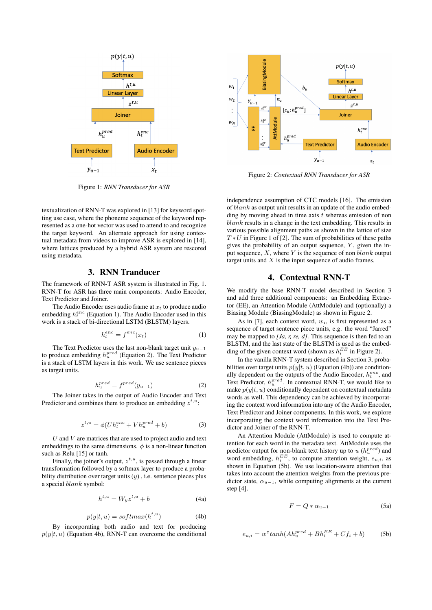

Figure 1: *RNN Transducer for ASR*

textualization of RNN-T was explored in [13] for keyword spotting use case, where the phoneme sequence of the keyword represented as a one-hot vector was used to attend to and recognize the target keyword. An alternate approach for using contextual metadata from videos to improve ASR is explored in [14], where lattices produced by a hybrid ASR system are rescored using metadata.

#### 3. RNN Tranducer

The framework of RNN-T ASR system is illustrated in Fig. 1. RNN-T for ASR has three main components: Audio Encoder, Text Predictor and Joiner.

The Audio Encoder uses audio frame at  $x_t$  to produce audio embedding  $h_t^{enc}$  (Equation 1). The Audio Encoder used in this work is a stack of bi-directional LSTM (BLSTM) layers.

$$
h_t^{enc} = f^{enc}(x_t) \tag{1}
$$

The Text Predictor uses the last non-blank target unit  $y_{u-1}$ to produce embedding  $h_u^{pred}$  (Equation 2). The Text Predictor is a stack of LSTM layers in this work. We use sentence pieces as target units.

$$
h_u^{pred} = f^{pred}(y_{u-1})
$$
 (2)

The Joiner takes in the output of Audio Encoder and Text Predictor and combines them to produce an embedding  $z^{t,u}$ :

$$
z^{t,u} = \phi(Uh_t^{enc} + Vh_u^{pred} + b)
$$
 (3)

 $U$  and  $V$  are matrices that are used to project audio and text embeddings to the same dimensions.  $\phi$  is a non-linear function such as Relu [15] or tanh.

Finally, the joiner's output,  $z^{t,u}$ , is passed through a linear transformation followed by a softmax layer to produce a probability distribution over target units  $(y)$ , i.e. sentence pieces plus a special blank symbol:

$$
h^{t,u} = W_y z^{t,u} + b \tag{4a}
$$

$$
p(y|t, u) = softmax(h^{t, u})
$$
 (4b)

By incorporating both audio and text for producing  $p(y|t, u)$  (Equation 4b), RNN-T can overcome the conditional



Figure 2: *Contextual RNN Transducer for ASR*

independence assumption of CTC models [16]. The emission of  $blank$  as output unit results in an update of the audio embedding by moving ahead in time axis  $t$  whereas emission of non blank results in a change in the text embedding. This results in various possible alignment paths as shown in the lattice of size  $T * U$  in Figure 1 of [2]. The sum of probabilities of these paths gives the probability of an output sequence,  $Y$ , given the input sequence,  $X$ , where  $Y$  is the sequence of non blank output target units and  $X$  is the input sequence of audio frames.

## 4. Contextual RNN-T

We modify the base RNN-T model described in Section 3 and add three additional components: an Embedding Extractor (EE), an Attention Module (AttModule) and (optionally) a Biasing Module (BiasingModule) as shown in Figure 2.

As in [7], each context word,  $w_i$ , is first represented as a sequence of target sentence piece units, e.g. the word "Jarred" may be mapped to *[Ja, r, re, d]*. This sequence is then fed to an BLSTM, and the last state of the BLSTM is used as the embedding of the given context word (shown as  $h_i^{EE}$  in Figure 2).

In the vanilla RNN-T system described in Section 3, probabilities over target units  $p(y|t, u)$  (Equation (4b)) are conditionally dependent on the outputs of the Audio Encoder,  $h_t^{enc}$ , and Text Predictor,  $h_u^{pred}$ . In contextual RNN-T, we would like to make  $p(y|t, u)$  conditionally dependent on contextual metadata words as well. This dependency can be achieved by incorporating the context word information into any of the Audio Encoder, Text Predictor and Joiner components. In this work, we explore incorporating the context word information into the Text Predictor and Joiner of the RNN-T.

An Attention Module (AttModule) is used to compute attention for each word in the metadata text. AttModule uses the predictor output for non-blank text history up to  $u(h_u^{pred})$  and word embedding,  $h_i^{EE}$ , to compute attention weight,  $e_{u,i}$ , as shown in Equation (5b). We use location-aware attention that takes into account the attention weights from the previous predictor state,  $\alpha_{u-1}$ , while computing alignments at the current step [4].

$$
F = Q * \alpha_{u-1} \tag{5a}
$$

$$
e_{u,i} = w^{\mathsf{T}} \tanh(Ah_u^{pred} + Bh_i^{EE} + Cf_i + b) \tag{5b}
$$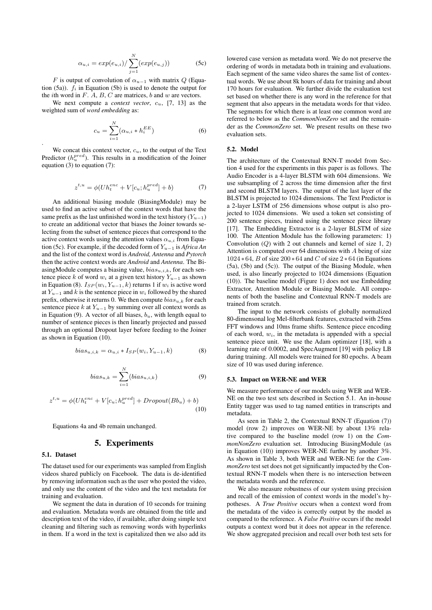$$
\alpha_{u,i} = exp(e_{u,i}) / \sum_{j=1}^{N} (exp(e_{u,j}))
$$
 (5c)

F is output of convolution of  $\alpha_{u-1}$  with matrix Q (Equation (5a)).  $f_i$  in Equation (5b) is used to denote the output for the *i*th word in  $F$ .  $A$ ,  $B$ ,  $C$  are matrices,  $b$  and  $w$  are vectors.

We next compute a *context vector*, cu, [7, 13] as the weighted sum of *word embedding* as:

$$
c_u = \sum_{i=1}^{N} (\alpha_{u,i} * h_i^{EE})
$$
 (6)

We concat this context vector,  $c<sub>u</sub>$ , to the output of the Text Predictor  $(h_u^{pred})$ . This results in a modification of the Joiner equation (3) to equation (7):

$$
z^{t,u} = \phi(Uh_t^{enc} + V[c_u; h_u^{pred}] + b)
$$
 (7)

An additional biasing module (BiasingModule) may be used to find an active subset of the context words that have the same prefix as the last unfinished word in the text history  $(Y_{u-1})$ to create an additional vector that biases the Joiner towards selecting from the subset of sentence pieces that correspond to the active context words using the attention values  $\alpha_{u,i}$  from Equation (5c). For example, if the decoded form of Yu−<sup>1</sup> is *Africa An* and the list of the context word is *Android, Antenna* and *Pytorch* then the active context words are *Android* and *Antenna*. The BiasingModule computes a biasing value,  $bias_{u,i,k}$ , for each sentence piece k of word  $w_i$  at a given text history  $Y_{u-1}$  as shown in Equation (8).  $I_{SP}(w_i, Y_{u-1}, k)$  returns 1 if  $w_i$  is active word at  $Y_{u-1}$  and k is the sentence piece in  $w_i$  followed by the shared prefix, otherwise it returns 0. We then compute  $bias_{u,k}$  for each sentence piece  $k$  at  $Y_{u-1}$  by summing over all context words as in Equation (9). A vector of all biases,  $b<sub>u</sub>$ , with length equal to number of sentence pieces is then linearly projected and passed through an optional Dropout layer before feeding to the Joiner as shown in Equation (10).

$$
bias_{u,i,k} = \alpha_{u,i} * I_{SP}(w_i, Y_{u-1}, k)
$$
 (8)

$$
bias_{u,k} = \sum_{i=1}^{N} (bias_{u,i,k})
$$
 (9)

$$
z^{t,u} = \phi(Uh_t^{enc} + V[c_u; h_u^{pred}] + Dropout(Bb_u) + b)
$$
  
(10)

Equations 4a and 4b remain unchanged.

#### 5. Experiments

#### 5.1. Dataset

.

The dataset used for our experiments was sampled from English videos shared publicly on Facebook. The data is de-identified by removing information such as the user who posted the video, and only use the content of the video and the text metadata for training and evaluation.

We segment the data in duration of 10 seconds for training and evaluation. Metadata words are obtained from the title and description text of the video, if available, after doing simple text cleaning and filtering such as removing words with hyperlinks in them. If a word in the text is capitalized then we also add its lowered case version as metadata word. We do not preserve the ordering of words in metadata both in training and evaluations. Each segment of the same video shares the same list of contextual words. We use about 8k hours of data for training and about 170 hours for evaluation. We further divide the evaluation test set based on whether there is any word in the reference for that segment that also appears in the metadata words for that video. The segments for which there is at least one common word are referred to below as the *CommonNonZero* set and the remainder as the *CommonZero* set. We present results on these two evaluation sets.

#### 5.2. Model

The architecture of the Contextual RNN-T model from Section 4 used for the experiments in this paper is as follows. The Audio Encoder is a 4-layer BLSTM with 604 dimensions. We use subsampling of 2 across the time dimension after the first and second BLSTM layers. The output of the last layer of the BLSTM is projected to 1024 dimensions. The Text Predictor is a 2-layer LSTM of 256 dimensions whose output is also projected to 1024 dimensions. We used a token set consisting of 200 sentence pieces, trained using the sentence piece library [17]. The Embedding Extractor is a 2-layer BLSTM of size 100. The Attention Module has the following parameters: 1) Convolution  $(Q)$  with 2 out channels and kernel of size 1, 2) Attention is computed over 64 dimensions with A being of size  $1024 * 64$ , B of size  $200 * 64$  and C of size  $2 * 64$  (in Equations (5a), (5b) and (5c)). The output of the Biasing Module, when used, is also linearly projected to 1024 dimensions (Equation (10)). The baseline model (Figure 1) does not use Embedding Extractor, Attention Module or Biasing Module. All components of both the baseline and Contextual RNN-T models are trained from scratch.

The input to the network consists of globally normalized 80-dimensonal log Mel-filterbank features, extracted with 25ms FFT windows and 10ms frame shifts. Sentence piece encoding of each word,  $w_i$ , in the metadata is appended with a special sentence piece unit. We use the Adam optimizer [18], with a learning rate of 0.0002, and SpecAugment [19] with policy LB during training. All models were trained for 80 epochs. A beam size of 10 was used during inference.

#### 5.3. Impact on WER-NE and WER

We measure performance of our models using WER and WER-NE on the two test sets described in Section 5.1. An in-house Entity tagger was used to tag named entities in transcripts and metadata.

As seen in Table 2, the Contextual RNN-T (Equation (7)) model (row 2) improves on WER-NE by about 13% relative compared to the baseline model (row 1) on the *CommonNonZero* evaluation set. Introducing BiasingModule (as in Equation (10)) improves WER-NE further by another 3%. As shown in Table 3, both WER and WER-NE for the *CommonZero* test set does not get significantly impacted by the Contextual RNN-T models when there is no intersection between the metadata words and the reference.

We also measure robustness of our system using precision and recall of the emission of context words in the model's hypotheses. A *True Positive* occurs when a context word from the metadata of the video is correctly output by the model as compared to the reference. A *False Positive* occurs if the model outputs a context word but it does not appear in the reference. We show aggregated precision and recall over both test sets for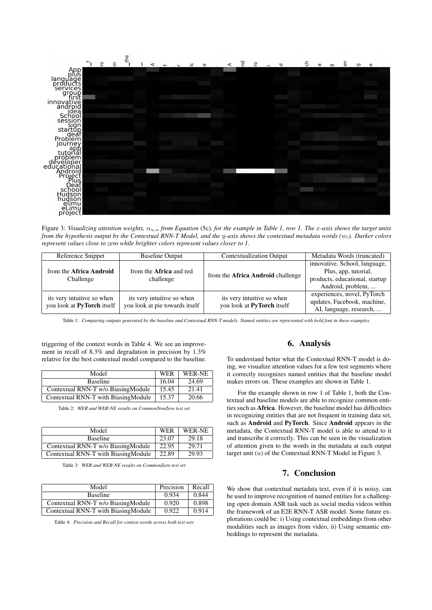

Figure 3: *Visualizing attention weights,* αu,n *from Equation* (5c)*, for the example in Table 1, row 1. The* x*-axis shows the target units from the hypothesis output by the Contextual RNN-T Model, and the* y*-axis shows the contextual metadata words (*wi*). Darker colors represent values close to zero while brighter colors represent values closer to 1.*

| Reference Snippet                                        | <b>Baseline Output</b>                                       | <b>Contextualization Output</b>                          | Metadata Words (truncated)                                                                                   |
|----------------------------------------------------------|--------------------------------------------------------------|----------------------------------------------------------|--------------------------------------------------------------------------------------------------------------|
| from the Africa Android<br>Challenge                     | from the <b>Africa</b> and red<br>challenge                  | from the <b>Africa Android</b> challenge                 | innovative, School, language,<br>Plus, app, tutorial,<br>products, educational, startup<br>Android, problem, |
| its very intuitive so when<br>you look at PyTorch itself | its very intuitive so when<br>you look at pie towards itself | its very intuitive so when<br>you look at PyTorch itself | experiences, novel, PyTorch<br>updates, Facebook, machine,<br>AI, language, research,                        |

Table 1: *Comparing outputs generated by the baseline and Contextual RNN-T models. Named entities are represented with bold font in these examples.*

triggering of the context words in Table 4. We see an improvement in recall of 8.3% and degradation in precision by 1.3% relative for the best contextual model compared to the baseline.

| Model                               | <b>WER</b> | WER-NE |
|-------------------------------------|------------|--------|
| <b>Baseline</b>                     | 16.04      | 24.69  |
| Contextual RNN-T w/o BiasingModule  | 15.45      | 21.41  |
| Contextual RNN-T with BiasingModule | 15.37      | 20.66  |

Table 2: *WER and WER-NE results on CommonNonZero test set*

| Model                               | <b>WER</b> | WER-NE |
|-------------------------------------|------------|--------|
| <b>Baseline</b>                     | 23.07      | 29.18  |
| Contextual RNN-T w/o BiasingModule  | 22.95      | 29.71  |
| Contextual RNN-T with BiasingModule | 22.89      | 29.93  |

Table 3: *WER and WER-NE results on CommonZero test set*

| Model                               | Precision | Recall |
|-------------------------------------|-----------|--------|
| <b>Baseline</b>                     | 0.934     | 0.844  |
| Contextual RNN-T w/o BiasingModule  | 0.920     | 0.898  |
| Contextual RNN-T with BiasingModule | 0.922     | 0.914  |

Table 4: *Precision and Recall for context words across both test sets*

## 6. Analysis

To understand better what the Contextual RNN-T model is doing, we visualize attention values for a few test segments where it correctly recognizes named entities that the baseline model makes errors on. These examples are shown in Table 1.

For the example shown in row 1 of Table 1, both the Contextual and baseline models are able to recognize common entities such as Africa. However, the baseline model has difficulties in recognizing entities that are not frequent in training data set, such as Android and PyTorch. Since Android appears in the metadata, the Contextual RNN-T model is able to attend to it and transcribe it correctly. This can be seen in the visualization of attention given to the words in the metadata at each output target unit  $(u)$  of the Contextual RNN-T Model in Figure 3.

# 7. Conclusion

We show that contextual metadata text, even if it is noisy, can be used to improve recognition of named entities for a challenging open domain ASR task such as social media videos within the framework of an E2E RNN-T ASR model. Some future explorations could be: i) Using contextual embeddings from other modalities such as images from video, ii) Using semantic embeddings to represent the metadata.